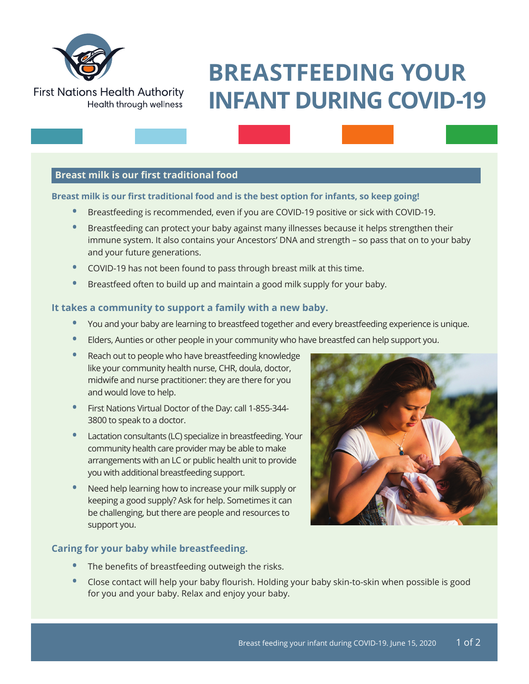

**First Nations Health Authority** 

# **BREASTFEEDING YOUR INFANT DURING COVID-19**

# **Breast milk is our first traditional food**

Health through wellness

#### **Breast milk is our first traditional food and is the best option for infants, so keep going!**

- **•** Breastfeeding is recommended, even if you are COVID-19 positive or sick with COVID-19.
- **•** Breastfeeding can protect your baby against many illnesses because it helps strengthen their immune system. It also contains your Ancestors' DNA and strength – so pass that on to your baby and your future generations.
- **•** COVID-19 has not been found to pass through breast milk at this time.
- **•** Breastfeed often to build up and maintain a good milk supply for your baby.

#### **It takes a community to support a family with a new baby.**

- **•** You and your baby are learning to breastfeed together and every breastfeeding experience is unique.
- **•** Elders, Aunties or other people in your community who have breastfed can help support you.
- **•** Reach out to people who have breastfeeding knowledge like your community health nurse, CHR, doula, doctor, midwife and nurse practitioner: they are there for you and would love to help.
- **•** First Nations Virtual Doctor of the Day: call 1-855-344- 3800 to speak to a doctor.
- **•** Lactation consultants (LC) specialize in breastfeeding. Your community health care provider may be able to make arrangements with an LC or public health unit to provide you with additional breastfeeding support.
- **•** Need help learning how to increase your milk supply or keeping a good supply? Ask for help. Sometimes it can be challenging, but there are people and resources to support you.



# **Caring for your baby while breastfeeding.**

- **•** The benefits of breastfeeding outweigh the risks.
- **•** Close contact will help your baby flourish. Holding your baby skin-to-skin when possible is good for you and your baby. Relax and enjoy your baby.